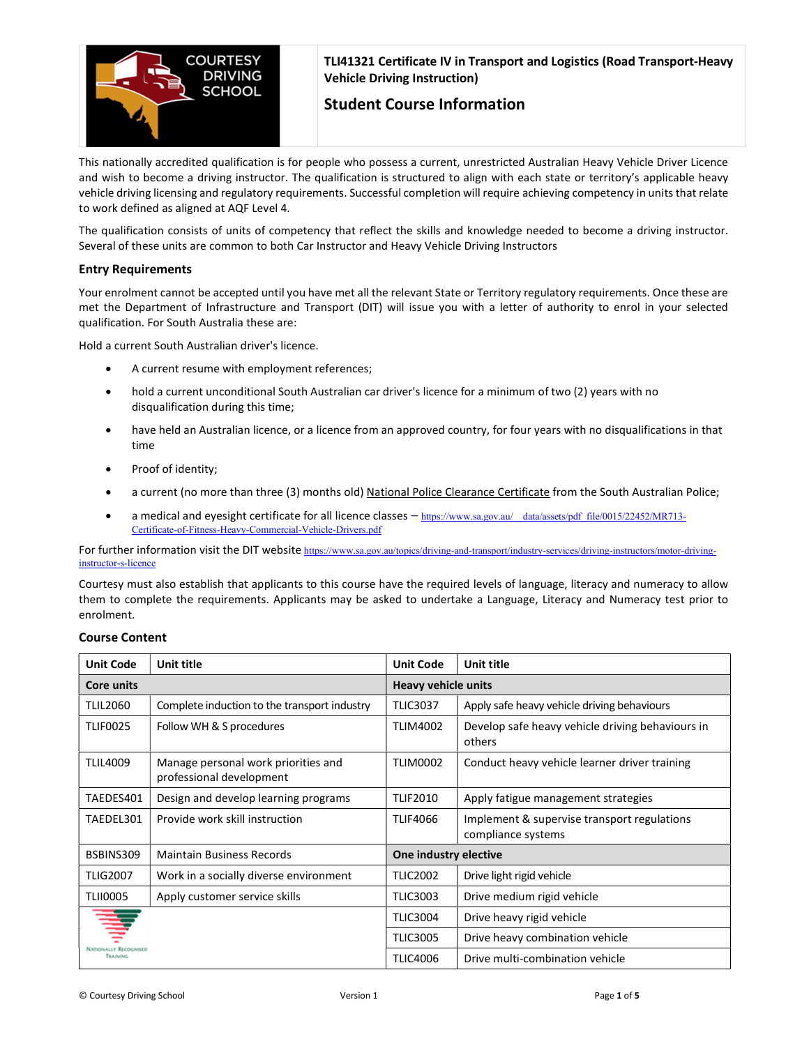

TLI41321 Certificate IV in Transport and Logistics (Road Transport-Heavy Vehicle Driving Instruction)

# Student Course Information

This nationally accredited qualification is for people who possess a current, unrestricted Australian Heavy Vehicle Driver Licence and wish to become a driving instructor. The qualification is structured to align with each state or territory's applicable heavy vehicle driving licensing and regulatory requirements. Successful completion will require achieving competency in units that relate to work defined as aligned at AQF Level 4.

The qualification consists of units of competency that reflect the skills and knowledge needed to become a driving instructor. Several of these units are common to both Car Instructor and Heavy Vehicle Driving Instructors

# Entry Requirements

Your enrolment cannot be accepted until you have met all the relevant State or Territory regulatory requirements. Once these are met the Department of Infrastructure and Transport (DIT) will issue you with a letter of authority to enrol in your selected qualification. For South Australia these are:

Hold a current South Australian driver's licence.

- A current resume with employment references;
- hold a current unconditional South Australian car driver's licence for a minimum of two (2) years with no disqualification during this time;
- have held an Australian licence, or a licence from an approved country, for four years with no disqualifications in that time
- Proof of identity;
- a current (no more than three (3) months old) National Police Clearance Certificate from the South Australian Police;
- a medical and eyesight certificate for all licence classes https://www.sa.gov.au/\_\_data/assets/pdf\_file/0015/22452/MR713-Certificate-of-Fitness-Heavy-Commercial-Vehicle-Drivers.pdf

For further information visit the DIT website https://www.sa.gov.au/topics/driving-and-transport/industry-services/driving-instructors/motor-drivinginstructor-s-licence

Courtesy must also establish that applicants to this course have the required levels of language, literacy and numeracy to allow them to complete the requirements. Applicants may be asked to undertake a Language, Literacy and Numeracy test prior to enrolment.

| <b>Unit Code</b>             | Unit title                                                      | <b>Unit Code</b>           | Unit title                                                        |
|------------------------------|-----------------------------------------------------------------|----------------------------|-------------------------------------------------------------------|
| Core units                   |                                                                 | <b>Heavy vehicle units</b> |                                                                   |
| <b>TLIL2060</b>              | Complete induction to the transport industry                    | <b>TLIC3037</b>            | Apply safe heavy vehicle driving behaviours                       |
| TLIF0025                     | Follow WH & S procedures                                        | <b>TLIM4002</b>            | Develop safe heavy vehicle driving behaviours in<br>others        |
| <b>TLIL4009</b>              | Manage personal work priorities and<br>professional development | <b>TLIM0002</b>            | Conduct heavy vehicle learner driver training                     |
| TAEDES401                    | Design and develop learning programs                            | <b>TLIF2010</b>            | Apply fatigue management strategies                               |
| TAEDEL301                    | Provide work skill instruction                                  | <b>TLIF4066</b>            | Implement & supervise transport regulations<br>compliance systems |
| BSBINS309                    | <b>Maintain Business Records</b>                                | One industry elective      |                                                                   |
| <b>TLIG2007</b>              | Work in a socially diverse environment                          | <b>TLIC2002</b>            | Drive light rigid vehicle                                         |
| <b>TLII0005</b>              | Apply customer service skills                                   | <b>TLIC3003</b>            | Drive medium rigid vehicle                                        |
|                              |                                                                 | <b>TLIC3004</b>            | Drive heavy rigid vehicle                                         |
| <b>NATIONALLY RECOCNISED</b> |                                                                 | <b>TLIC3005</b>            | Drive heavy combination vehicle                                   |
| <b>TRAINING</b>              |                                                                 | <b>TLIC4006</b>            | Drive multi-combination vehicle                                   |

# Course Content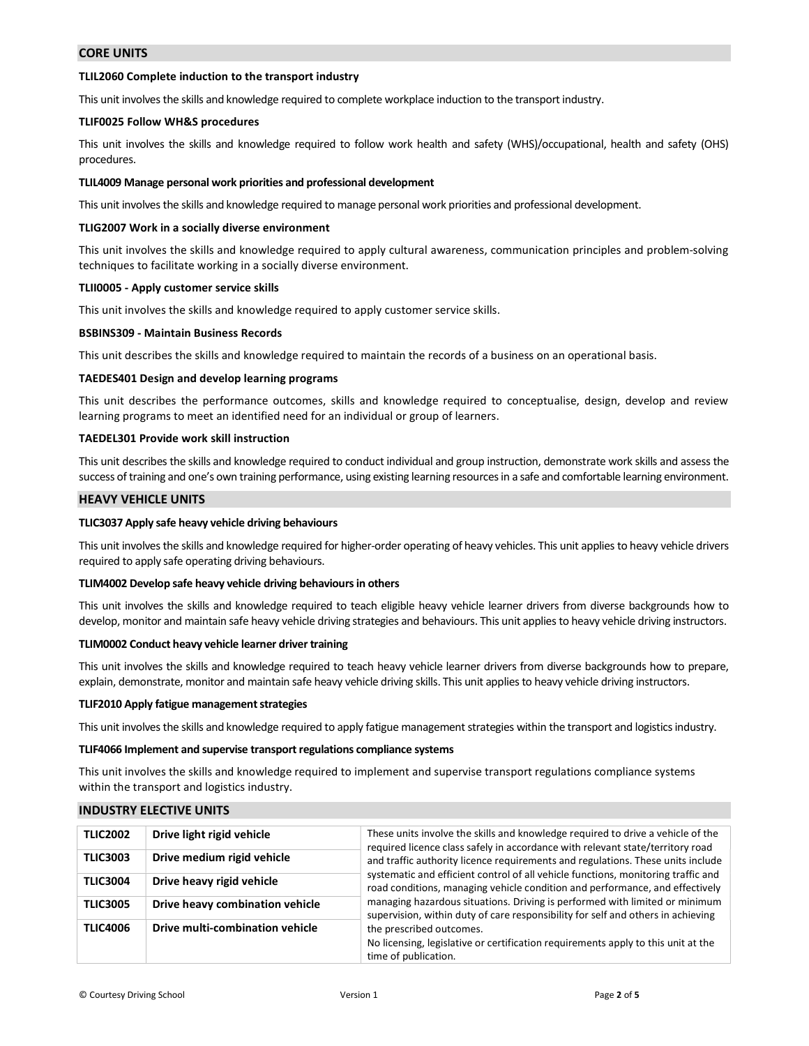### CORE UNITS

### TLIL2060 Complete induction to the transport industry

This unit involves the skills and knowledge required to complete workplace induction to the transport industry.

### TLIF0025 Follow WH&S procedures

This unit involves the skills and knowledge required to follow work health and safety (WHS)/occupational, health and safety (OHS) procedures.

### TLIL4009 Manage personal work priorities and professional development

This unit involves the skills and knowledge required to manage personal work priorities and professional development.

#### TLIG2007 Work in a socially diverse environment

This unit involves the skills and knowledge required to apply cultural awareness, communication principles and problem-solving techniques to facilitate working in a socially diverse environment.

#### TLII0005 - Apply customer service skills

This unit involves the skills and knowledge required to apply customer service skills.

### BSBINS309 - Maintain Business Records

This unit describes the skills and knowledge required to maintain the records of a business on an operational basis.

#### TAEDES401 Design and develop learning programs

This unit describes the performance outcomes, skills and knowledge required to conceptualise, design, develop and review learning programs to meet an identified need for an individual or group of learners.

#### TAEDEL301 Provide work skill instruction

This unit describes the skills and knowledge required to conduct individual and group instruction, demonstrate work skills and assess the success of training and one's own training performance, using existing learning resources in a safe and comfortable learning environment.

# HEAVY VEHICLE UNITS

### TLIC3037 Apply safe heavy vehicle driving behaviours

This unit involves the skills and knowledge required for higher-order operating of heavy vehicles. This unit applies to heavy vehicle drivers required to apply safe operating driving behaviours.

#### TLIM4002 Develop safe heavy vehicle driving behaviours in others

This unit involves the skills and knowledge required to teach eligible heavy vehicle learner drivers from diverse backgrounds how to develop, monitor and maintain safe heavy vehicle driving strategies and behaviours. This unit applies to heavy vehicle driving instructors.

#### TLIM0002 Conduct heavy vehicle learner driver training

This unit involves the skills and knowledge required to teach heavy vehicle learner drivers from diverse backgrounds how to prepare, explain, demonstrate, monitor and maintain safe heavy vehicle driving skills. This unit applies to heavy vehicle driving instructors.

#### TLIF2010 Apply fatigue management strategies

This unit involves the skills and knowledge required to apply fatigue management strategies within the transport and logistics industry.

#### TLIF4066 Implement and supervise transport regulations compliance systems

This unit involves the skills and knowledge required to implement and supervise transport regulations compliance systems within the transport and logistics industry.

# INDUSTRY ELECTIVE UNITS

| <b>TLIC2002</b> | Drive light rigid vehicle       | These units involve the skills and knowledge required to drive a vehicle of the<br>required licence class safely in accordance with relevant state/territory road<br>and traffic authority licence requirements and regulations. These units include                                                                                                             |  |
|-----------------|---------------------------------|------------------------------------------------------------------------------------------------------------------------------------------------------------------------------------------------------------------------------------------------------------------------------------------------------------------------------------------------------------------|--|
| <b>TLIC3003</b> | Drive medium rigid vehicle      |                                                                                                                                                                                                                                                                                                                                                                  |  |
| <b>TLIC3004</b> | Drive heavy rigid vehicle       | systematic and efficient control of all vehicle functions, monitoring traffic and<br>road conditions, managing vehicle condition and performance, and effectively<br>managing hazardous situations. Driving is performed with limited or minimum<br>supervision, within duty of care responsibility for self and others in achieving<br>the prescribed outcomes. |  |
| <b>TLIC3005</b> | Drive heavy combination vehicle |                                                                                                                                                                                                                                                                                                                                                                  |  |
| <b>TLIC4006</b> | Drive multi-combination vehicle |                                                                                                                                                                                                                                                                                                                                                                  |  |
|                 |                                 | No licensing, legislative or certification requirements apply to this unit at the<br>time of publication.                                                                                                                                                                                                                                                        |  |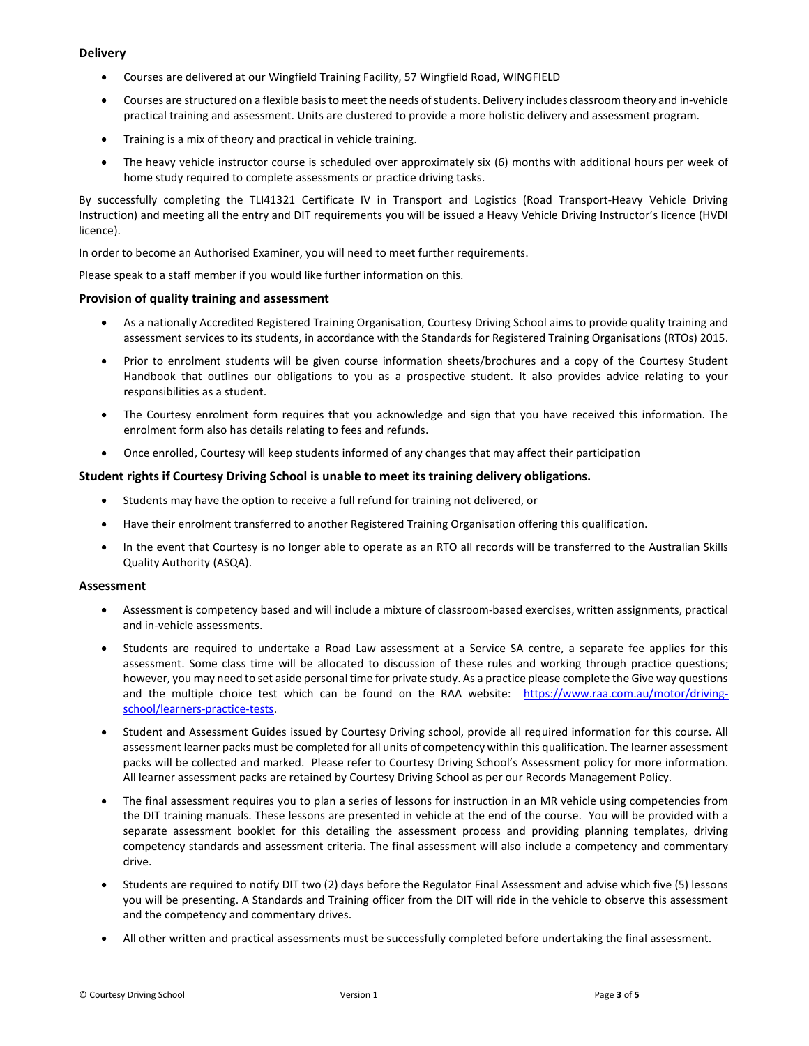# **Delivery**

- Courses are delivered at our Wingfield Training Facility, 57 Wingfield Road, WINGFIELD
- Courses are structured on a flexible basis to meet the needs of students. Delivery includes classroom theory and in-vehicle practical training and assessment. Units are clustered to provide a more holistic delivery and assessment program.
- Training is a mix of theory and practical in vehicle training.
- The heavy vehicle instructor course is scheduled over approximately six (6) months with additional hours per week of home study required to complete assessments or practice driving tasks.

By successfully completing the TLI41321 Certificate IV in Transport and Logistics (Road Transport-Heavy Vehicle Driving Instruction) and meeting all the entry and DIT requirements you will be issued a Heavy Vehicle Driving Instructor's licence (HVDI licence).

In order to become an Authorised Examiner, you will need to meet further requirements.

Please speak to a staff member if you would like further information on this.

# Provision of quality training and assessment

- As a nationally Accredited Registered Training Organisation, Courtesy Driving School aims to provide quality training and assessment services to its students, in accordance with the Standards for Registered Training Organisations (RTOs) 2015.
- Prior to enrolment students will be given course information sheets/brochures and a copy of the Courtesy Student Handbook that outlines our obligations to you as a prospective student. It also provides advice relating to your responsibilities as a student.
- The Courtesy enrolment form requires that you acknowledge and sign that you have received this information. The enrolment form also has details relating to fees and refunds.
- Once enrolled, Courtesy will keep students informed of any changes that may affect their participation

# Student rights if Courtesy Driving School is unable to meet its training delivery obligations.

- Students may have the option to receive a full refund for training not delivered, or
- Have their enrolment transferred to another Registered Training Organisation offering this qualification.
- In the event that Courtesy is no longer able to operate as an RTO all records will be transferred to the Australian Skills Quality Authority (ASQA).

### Assessment

- Assessment is competency based and will include a mixture of classroom-based exercises, written assignments, practical and in-vehicle assessments.
- Students are required to undertake a Road Law assessment at a Service SA centre, a separate fee applies for this assessment. Some class time will be allocated to discussion of these rules and working through practice questions; however, you may need to set aside personal time for private study. As a practice please complete the Give way questions and the multiple choice test which can be found on the RAA website: https://www.raa.com.au/motor/drivingschool/learners-practice-tests.
- Student and Assessment Guides issued by Courtesy Driving school, provide all required information for this course. All assessment learner packs must be completed for all units of competency within this qualification. The learner assessment packs will be collected and marked. Please refer to Courtesy Driving School's Assessment policy for more information. All learner assessment packs are retained by Courtesy Driving School as per our Records Management Policy.
- The final assessment requires you to plan a series of lessons for instruction in an MR vehicle using competencies from the DIT training manuals. These lessons are presented in vehicle at the end of the course. You will be provided with a separate assessment booklet for this detailing the assessment process and providing planning templates, driving competency standards and assessment criteria. The final assessment will also include a competency and commentary drive.
- Students are required to notify DIT two (2) days before the Regulator Final Assessment and advise which five (5) lessons you will be presenting. A Standards and Training officer from the DIT will ride in the vehicle to observe this assessment and the competency and commentary drives.
- All other written and practical assessments must be successfully completed before undertaking the final assessment.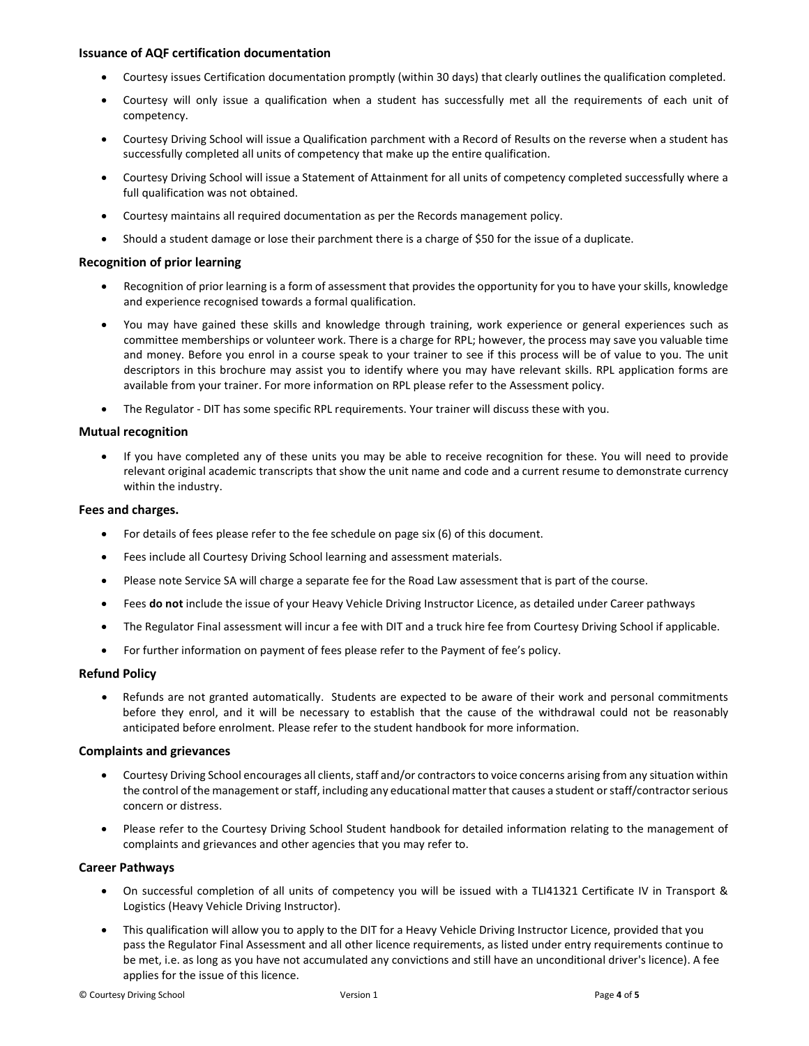# Issuance of AQF certification documentation

- Courtesy issues Certification documentation promptly (within 30 days) that clearly outlines the qualification completed.
- Courtesy will only issue a qualification when a student has successfully met all the requirements of each unit of competency.
- Courtesy Driving School will issue a Qualification parchment with a Record of Results on the reverse when a student has successfully completed all units of competency that make up the entire qualification.
- Courtesy Driving School will issue a Statement of Attainment for all units of competency completed successfully where a full qualification was not obtained.
- Courtesy maintains all required documentation as per the Records management policy.
- Should a student damage or lose their parchment there is a charge of \$50 for the issue of a duplicate.

# Recognition of prior learning

- Recognition of prior learning is a form of assessment that provides the opportunity for you to have your skills, knowledge and experience recognised towards a formal qualification.
- You may have gained these skills and knowledge through training, work experience or general experiences such as committee memberships or volunteer work. There is a charge for RPL; however, the process may save you valuable time and money. Before you enrol in a course speak to your trainer to see if this process will be of value to you. The unit descriptors in this brochure may assist you to identify where you may have relevant skills. RPL application forms are available from your trainer. For more information on RPL please refer to the Assessment policy.
- The Regulator DIT has some specific RPL requirements. Your trainer will discuss these with you.

# Mutual recognition

• If you have completed any of these units you may be able to receive recognition for these. You will need to provide relevant original academic transcripts that show the unit name and code and a current resume to demonstrate currency within the industry.

# Fees and charges.

- For details of fees please refer to the fee schedule on page six (6) of this document.
- Fees include all Courtesy Driving School learning and assessment materials.
- Please note Service SA will charge a separate fee for the Road Law assessment that is part of the course.
- Fees do not include the issue of your Heavy Vehicle Driving Instructor Licence, as detailed under Career pathways
- The Regulator Final assessment will incur a fee with DIT and a truck hire fee from Courtesy Driving School if applicable.
- For further information on payment of fees please refer to the Payment of fee's policy.

### Refund Policy

 Refunds are not granted automatically. Students are expected to be aware of their work and personal commitments before they enrol, and it will be necessary to establish that the cause of the withdrawal could not be reasonably anticipated before enrolment. Please refer to the student handbook for more information.

### Complaints and grievances

- Courtesy Driving School encourages all clients, staff and/or contractors to voice concerns arising from any situation within the control of the management or staff, including any educational matter that causes a student or staff/contractor serious concern or distress.
- Please refer to the Courtesy Driving School Student handbook for detailed information relating to the management of complaints and grievances and other agencies that you may refer to.

### Career Pathways

- On successful completion of all units of competency you will be issued with a TLI41321 Certificate IV in Transport & Logistics (Heavy Vehicle Driving Instructor).
- This qualification will allow you to apply to the DIT for a Heavy Vehicle Driving Instructor Licence, provided that you pass the Regulator Final Assessment and all other licence requirements, as listed under entry requirements continue to be met, i.e. as long as you have not accumulated any convictions and still have an unconditional driver's licence). A fee applies for the issue of this licence.